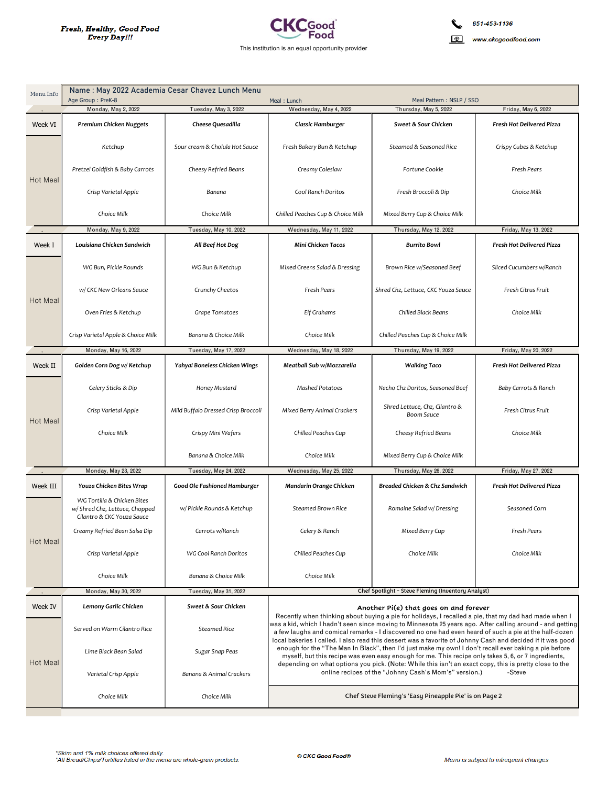

Name: May 2022 Academia Cesar Chavez Lunch Menu Menu Info Age Group: PreK-8 Meal: Lunch Meal Pattern: NSLP / SSO  $M$ onday May 2 2022 Tuesday May 3 2022 Thursday May 5 2022 Friday May 6 2022 Wednesday May 4 2022 Week VI **Premium Chicken Nuggets Cheese Ouesadilla** Classic Hamburger Sweet & Sour Chicken Fresh Hot Delivered Pizza Sour cream & Cholula Hot Sauce Fresh Bakery Bun & Ketchup Steamed & Seasoned Rice Crispy Cubes & Ketchup Ketchup Pretzel Goldfish & Baby Carrots Cheesy Refried Beans Fortune Cookie Fresh Pears Creamy Coleslaw Hot Meal Cool Ranch Doritos Crisp Varietal Apple Banana Fresh Broccoli & Dip Choice Milk Choice Milk Choice Milk Chilled Peaches Cup & Choice Milk Mixed Berry Cup & Choice Milk Monday May 9 2022 Tuesday, May 10, 2022 Wednesday May 11 2022 Thursday May 19 2022 Friday May 13 2022 Week T Louisiana Chicken Sandwich Mini Chicken Tacos **Fresh Hot Delivered Pizza** All Beef Hot Dog **Burrito Bowl** WG Bun, Pickle Rounds WG Bun & Ketchup Mixed Greens Salad & Dressing Brown Rice w/Seasoned Beef Sliced Cucumbers w/Ranch w/ CKC New Orleans Sauce Fresh Pears Shred Chz. Lettuce, CKC Youza Sauce Fresh Citrus Fruit Crunchy Cheetos Hot Mea Oven Fries & Ketchup Grape Tomatoes Elf Grahams Chilled Black Beans Choice Milk Crisp Varietal Apple & Choice Milk Banana & Choice Milk Choice Milk Chilled Peaches Cup & Choice Milk Monday, May 16, 2022 Tuesday, May 17, 2022 Wednesday, May 18, 2022 Thursday, May 19, 2022 Friday, May 20, 2022 Week II Yahya! Boneless Chicken Wings **Walking Taco Fresh Hot Delivered Pizza** Golden Corn Dog w/ Ketchup Meatball Sub w/Mozzarella Mashed Potatoes Baby Carrots & Ranch Celery Sticks & Dip Honey Mustard Nacho Chz Doritos, Seasoned Beef Shred Lettuce, Chz, Cilantro & Mixed Berry Animal Crackers Fresh Citrus Fruit Crisp Varietal Apple Mild Buffalo Dressed Crisp Broccoli Boom Sauce Hot Mea Choice Milk Crispy Mini Wafers Chilled Peaches Cup Cheesy Refried Beans Choice Milk Banana & Choice Milk Choice Milk Mixed Berry Cup & Choice Milk Tuesday, May 24, 2022 Wednesday, May 25, 2022 Monday, May 23, 2022 Thursday, May 26, 2022 Friday, May 27, 2022 Week III Youza Chicken Bites Wrap Good Ole Fashioned Hamburger Mandarin Orange Chicken Breaded Chicken & Chz Sandwich Fresh Hot Delivered Pizza WG Tortilla & Chicken Bites w/ Shred Chz, Lettuce, Chopped w/ Pickle Rounds & Ketchup Steamed Brown Rice Romaine Salad w/Dressing Seasoned Corn Cilantro & CKC Youza Sauce Carrots w/Ranch Creamy Refried Bean Salsa Dip Celery & Ranch Mixed Berry Cup Fresh Pears Hot Meal Crisp Varietal Apple WG Cool Ranch Doritos Chilled Peaches Cup Choice Milk Choice Milk Choice Milk Banana & Choice Milk Choice Milk Chef Spotlight - Steve Fleming (Inventory Analyst) Monday, May 30, 2022 Tuesday, May 31, 2022 Week IV Lemony Garlic Chicken Sweet & Sour Chicken Another Pi(e) that goes on and forever Recently when thinking about buying a pie for holidays, I recalled a pie, that my dad had made when I was a kid, which I hadn't seen since moving to Minnesota 25 years ago. After calling around - and getting Served on Warm Cilantro Rice Steamed Rice a few laughs and comical remarks - I discovered no one had even heard of such a pie at the half-dozen local bakeries I called. I also read this dessert was a favorite of Johnny Cash and decided if it was good enough for the "The Man In Black", then I'd just make my own! I don't recall ever baking a pie before Lime Black Bean Salad Sugar Snap Peas myself, but this recipe was even easy enough for me. This recipe only takes 5, 6, or 7 ingredients,<br>depending on what options you pick. (Note: While this isn't an exact copy, this is pretty close to the Hot Meal online recipes of the "Johnny Cash's Mom's" version.) -Steve Varietal Crisp Apple Banana & Animal Crackers Choice Milk Choice Milk Chef Steve Fleming's 'Easy Pineapple Pie' is on Page 2